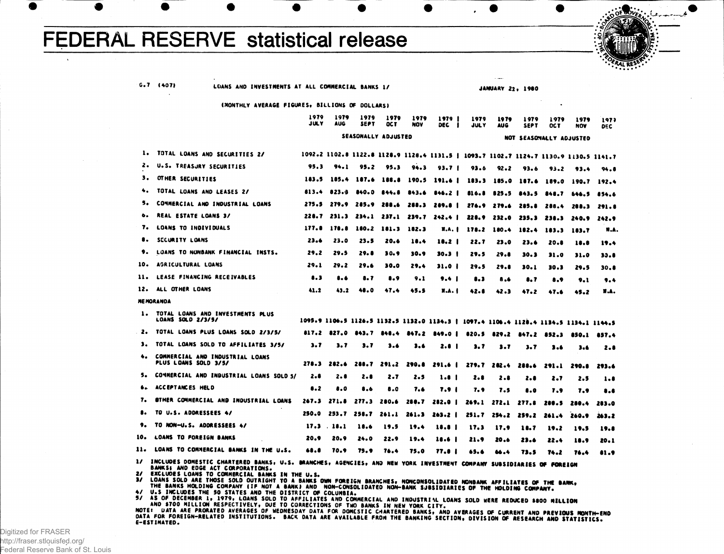## **FEDERAL RESERVE statistical release**



G.7 (407) LOANS AND INVESTMENTS AT ALL COMMERCIAL BANKS 1/

JANUARY 22, 1980

(MONTHLY AVERAGE FIGURES, BILLIONS OF DOLLARS)

|                   |                                                                                                                                                             | 1979<br>JULY            | 1979<br>AUG | 1979<br><b>SEPT</b> | 1979<br><b>OCT</b> | 1979<br>NOV | 1979<br>л<br><b>DEC</b>                                                               | 1979<br><b>JULY</b> | 1979<br>AUG | 1979<br>SEP T           | 1979<br>OC T | 1979<br><b>NOV</b> | 1977<br>DEC |
|-------------------|-------------------------------------------------------------------------------------------------------------------------------------------------------------|-------------------------|-------------|---------------------|--------------------|-------------|---------------------------------------------------------------------------------------|---------------------|-------------|-------------------------|--------------|--------------------|-------------|
|                   |                                                                                                                                                             | NOT SEASOMALLY ADJUSTED |             |                     |                    |             |                                                                                       |                     |             |                         |              |                    |             |
| 1.                | TOTAL LOANS AND SECURITIES 2/                                                                                                                               |                         |             |                     |                    |             | 1092.2 1102.8 1122.8 1128.9 1128.4 1131.5   1093.7 1102.7 1124.7 1130.9 1130.5 1141.7 |                     |             |                         |              |                    |             |
| 2.                | U.S. TREASURY SECURITIES                                                                                                                                    | 95.3                    | 94.1        | 95.2                | 95.3               | 94.3        | 93.7 <sub>1</sub>                                                                     | 93.6                | $92 - 2$    | 93.6                    | 93.2         | 93.4               | 94.8        |
| з.                | OTHER SECURITIES                                                                                                                                            | 183.5                   | 185.4       | 187.6               | 188.8              | 190.5       | 191.6 1                                                                               |                     | 183.3 185.0 |                         | 187.6 189.0  | 190.7              | 192.4       |
| ۰.                | TOTAL LOANS AND LEASES 2/                                                                                                                                   | 813.4                   | 823.9       | 840.0               | 844.8              | 843.6       | 846.2 <sub>1</sub>                                                                    |                     |             | 816.8 825.5 843.5       | - 848.7      | 646.5              | 854.6       |
| 5.                | COMMERCIAL AND INDUSTRIAL LOANS                                                                                                                             | 275.5                   |             | 279.9 285.9 288.6   |                    |             | 288.3 289.8                                                                           |                     |             | 276.9 279.6 285.8 288.4 |              | 288.3              | 291.8       |
|                   | <b>REAL ESTATE LOANS 3/</b>                                                                                                                                 |                         |             |                     |                    |             | 228.7 231.3 234.1 237.1 239.7 242.4                                                   |                     | 228.9 232.0 | 235.3                   | 238.3        | 240.9              | 242.9       |
| 7.                | LOANS TO INDIVIDUALS                                                                                                                                        | 177.8                   | 178.8       | 180.2               | 181.3              | 182.3       | <b>X.A. I</b>                                                                         | 178.2               | 180.4       | 182.4                   | 183.3        | 183.7              | H.A.        |
|                   | SECURITY LOANS                                                                                                                                              | 23.6                    | 23.0        | 23.5                | 20.6               | 18.4        | 18.2 I                                                                                | 22.7                | 23.0        | 23.6                    | 20.8         | 18.8               | 19.4        |
| 9.                | LOANS TO NONBANK FINANCIAL INSTS.                                                                                                                           | 29.2                    | 29.5        | 29. O               | 30.9               | 30.9        | 30.J I                                                                                | 29.5                | 29.8        | 30. 3                   | 31.0         | 31.0               | 33.8        |
| 10.               | <b>AGRICULTURAL LOANS</b>                                                                                                                                   | 29.1                    | 29.2        | 29.6                | 30.0               | 29.4        | 31.O I                                                                                | 29.5                | 29.8        | 30.1                    | 30.3         | 29.5               | 30.O        |
| 11.               | LEASE FINANCING RECEIVABLES                                                                                                                                 | 8.3                     | $\bullet$   | 8. 7                | 8.9                | 9.1         | 9.4 <sub>1</sub>                                                                      | $\bullet$ . 3       | 8.6         | $\bullet$ . 7           | 8.9          | 9.1                | 9.4         |
| 12.               | ALL OTHER LOANS                                                                                                                                             | 41.2                    | 43.2        | 48.0                | 47.4               | 45.5        | <b>N.A. I</b>                                                                         | 42.8                | 42.3        | 47.2                    | 47.6         | 45.2               | <b>N.A.</b> |
| <b>ME MORANDA</b> |                                                                                                                                                             |                         |             |                     |                    |             |                                                                                       |                     |             |                         |              |                    |             |
| 1.                | TOTAL LOANS AND INVESTMENTS PLUS<br>LOANS SOLD 2/3/5/                                                                                                       |                         |             |                     |                    |             | 1095.9 1106.5 1126.5 1132.5 1132.0 1134.3   1097.4 1106.4 1128.4 1134.5 1134.1 1144.5 |                     |             |                         |              |                    |             |
| 2.                | TOTAL LOANS PLUS LOANS SOLD 2/3/5/                                                                                                                          |                         |             |                     |                    |             | 817.2 827.0 843.7 848.4 847.2 849.0   820.5 829.2 847.2 852.3 850.1 857.4             |                     |             |                         |              |                    |             |
| з.                | TOTAL LOANS SOLD TO AFFILIATES 3/5/                                                                                                                         | 3.7                     | 3.7         | 3.7                 | 3.6                | 3.6         | 2.8 <sub>1</sub>                                                                      | 3.7                 | 3.7         | 3.7                     | $3 - 6$      | 3.6                | 2.8         |
| ۰.                | COMMERCIAL AND INDUSTRIAL LOANS<br>PLUS LOANS SOLD 3/5/                                                                                                     | 278.3                   | 282.6       |                     |                    |             | 288.7 291.2 290.8 291.6                                                               |                     | 279.7 282.4 | 288.6                   | - 291.1      | 290.8              | 293.6       |
| 5.                | COMMERCIAL AND INDUSTRIAL LOANS SOLD 5/                                                                                                                     | 2.8                     | 2.8         | 2.8                 | 2.7                | 2.5         | 1.8 1                                                                                 | 2.8                 | 2.8         | 2.8                     | 2.7          | 2.5                | 1.8         |
| ь.                | ACCEPTANCES HELD                                                                                                                                            | 8.2                     | 8.0         | 8.6                 | 8.0                | 7.6         | 7.9 I                                                                                 | 7. 9                | 7.5         | 8.0                     | 7.9          | 7.9                | 8.8         |
| 7.                | STHER COMMERCIAL AND INDUSTRIAL LOANS                                                                                                                       | 267.3                   | 271.8       | 277.3               | 280.6              |             | $280.7$ $282.0$ $\blacksquare$                                                        | 269.1               | 272.1       | 277.8                   | 288.5        | 280.4              | 283.0       |
|                   | TO U.S. ADDRESSEES 4/                                                                                                                                       |                         |             | 250.0 253.7 258.7   | 261.1              | 261.3       | 263.2 I                                                                               | 251.7               | 254.2       | 259.2                   | 261.4        | 260.9              | 263.2       |
| 9.                | TO NON-U.S. ADDRESSEES 4/                                                                                                                                   | 17.3                    | . 18.1      | 18.6                | 19.5               | 19.4        | 18.8 1                                                                                | 17.3                | 17.9        | 11.7                    | 19.2         | 19.5               | 19.8        |
| 10.               | <b>LOANS TO FOREIGN BANKS</b>                                                                                                                               | 20.9                    | 20.9        | 24.0                | 22.9               | 19.4        | 18.6 I                                                                                | 21.9                | 20.6        | 23.6                    | 22.4         | 18.9               | 20.1        |
| 11.               | LOANS TO COMMERCIAL BANKS IN THE U.S.                                                                                                                       | 68.8                    | 70.9        | 75.9                | 76.4               | 75.0        | 77.O I                                                                                | 65.6                | 66.4        | 73.5                    | 74.2         | 76.4               | 81.9        |
|                   | 1/ INCLUDES DOMESTIC CHARTERED BANKS, U.S. BRANCHES, AGENCIES, AND NEW YORK INVESTMENT COMPANY SUBSIDIARIES OF FOREIGN<br>BANKS: AND EDGE ACT CORPORATIONS. |                         |             |                     |                    |             |                                                                                       |                     |             |                         |              |                    |             |

2/ EXCLUDES LOANS TO COMMERCIAL BANKS IN THE U.S.<br>3/ LOANS SOLD ARE THOSE SOLD OUTRIGHT TO A BANKS<br>THE BANKS HOLDING COMPANY (IF NOT A BANK) AND<br>4/ U.S INCLUDES THE 50 STATES AND THE DISTRICT ON<br>5/ AS OF DECEMBER 1, 1979,

ANO \$700 MILLION RESPECTIVELY, DUE TO CORRECTIONS O

E-ESTIMATEO.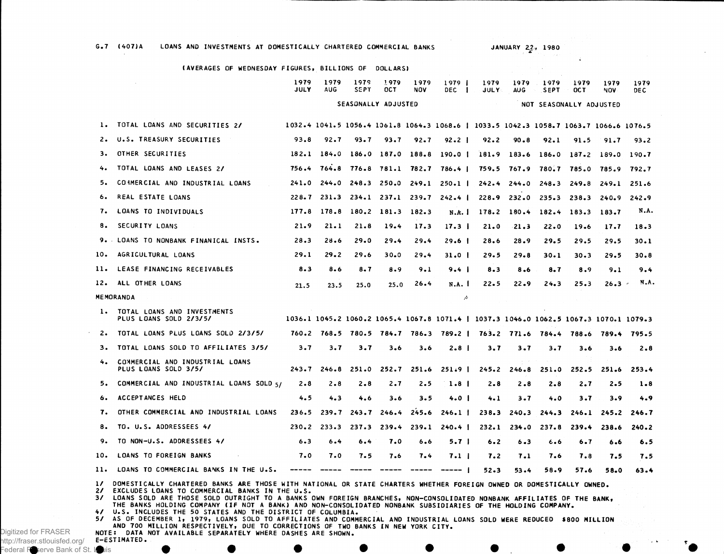G.7 (407)A LOANS AND INVESTMENTS AT DOMESTICALLY CHARTERED COMMERCIAL BANKS

JANUARY 22, 1980

|                                     | (AVERAGES OF WEDNESDAY FIGURES, BILLIONS OF DOLLARS)                                                                                                                                                                                                                                                                                                                                                    |                     |                    |                     |                                 |                                                                                                                                                                                                                                                                                                                                                                                                                                                                                        |                                                                                       |                                       |                    |                                 |                 |             |              |  |  |
|-------------------------------------|---------------------------------------------------------------------------------------------------------------------------------------------------------------------------------------------------------------------------------------------------------------------------------------------------------------------------------------------------------------------------------------------------------|---------------------|--------------------|---------------------|---------------------------------|----------------------------------------------------------------------------------------------------------------------------------------------------------------------------------------------------------------------------------------------------------------------------------------------------------------------------------------------------------------------------------------------------------------------------------------------------------------------------------------|---------------------------------------------------------------------------------------|---------------------------------------|--------------------|---------------------------------|-----------------|-------------|--------------|--|--|
|                                     | $\sim$                                                                                                                                                                                                                                                                                                                                                                                                  | 1979<br><b>JULY</b> | 1979<br><b>AUG</b> | 1979<br><b>SEPT</b> | 1979<br>OCT.                    | 1979<br>NOV                                                                                                                                                                                                                                                                                                                                                                                                                                                                            | 1979 <sub>1</sub><br>DEC I                                                            | 1979<br><b>JULY</b>                   | 1979<br><b>AUG</b> | 1979<br><b>SEPT</b>             | 1979<br>OC T    | 1979<br>NOV | 1979<br>DE C |  |  |
|                                     |                                                                                                                                                                                                                                                                                                                                                                                                         | SEASONALLY ADJUSTED |                    |                     |                                 |                                                                                                                                                                                                                                                                                                                                                                                                                                                                                        |                                                                                       | $\sim 100$<br>NOT SEASONALLY ADJUSTED |                    |                                 |                 |             |              |  |  |
| 1.                                  | TOTAL LOANS AND SECURITIES 2/                                                                                                                                                                                                                                                                                                                                                                           |                     |                    |                     |                                 |                                                                                                                                                                                                                                                                                                                                                                                                                                                                                        | 1032.4 1041.5 1056.4 1061.8 1064.3 1068.6   1033.5 1042.3 1058.7 1063.7 1066.6 1076.5 |                                       |                    |                                 |                 |             |              |  |  |
| 2.                                  | U.S. TREASURY SECURITIES                                                                                                                                                                                                                                                                                                                                                                                | 93.8                | 92.7               | 93.7                | 93.7                            | $92 - 7$                                                                                                                                                                                                                                                                                                                                                                                                                                                                               | $92.2$                                                                                | 92.2                                  | $90 - 8$           | 92.1                            | 91.5            | 91.7        | 93.2         |  |  |
| з.                                  | OTHER SECURITIES                                                                                                                                                                                                                                                                                                                                                                                        |                     |                    |                     |                                 |                                                                                                                                                                                                                                                                                                                                                                                                                                                                                        | 182.1 184.0 186.0 187.0 188.8 190.0                                                   |                                       |                    | 181.9 183.6 186.0               | 187.2           | 189.0       | 190.7        |  |  |
| 4.                                  | TOTAL LOANS AND LEASES 2/                                                                                                                                                                                                                                                                                                                                                                               | 756.4               |                    |                     |                                 |                                                                                                                                                                                                                                                                                                                                                                                                                                                                                        | 764.8 776.8 781.1 782.7 786.4                                                         |                                       |                    | 759.5 767.9 780.7 785.0 785.9   |                 |             | 792.7        |  |  |
| 5.                                  | COMMERCIAL AND INDUSTRIAL LOANS                                                                                                                                                                                                                                                                                                                                                                         | 241.0               | 244.0              |                     | $248.3$ $250.0$                 |                                                                                                                                                                                                                                                                                                                                                                                                                                                                                        | $249.1$ $250.1$                                                                       |                                       | $242.4$ $244.0$    |                                 | $248.3$ $249.8$ | 249.1       | 251.6        |  |  |
| 6.                                  | REAL ESTATE LOANS                                                                                                                                                                                                                                                                                                                                                                                       | $228 - 7$           | 231.3              |                     |                                 |                                                                                                                                                                                                                                                                                                                                                                                                                                                                                        | $234.1$ $237.1$ $239.7$ $242.4$                                                       |                                       |                    | $228.9$ $232.0$ $235.3$ $238.3$ |                 | 240.9       | 242.9        |  |  |
| 7.                                  | LOANS TO INDIVIDUALS                                                                                                                                                                                                                                                                                                                                                                                    |                     |                    |                     | 177.8 178.8 180.2 181.3 182.3   |                                                                                                                                                                                                                                                                                                                                                                                                                                                                                        | N.A.                                                                                  |                                       | $178.2$ 180.4      | 182.4                           | 183.3           | 183.7       | N.A.         |  |  |
| 8.                                  | SECURITY LOANS                                                                                                                                                                                                                                                                                                                                                                                          | 21.9                | $21 - 1$           | 21.8                | 19.4                            | 17.3                                                                                                                                                                                                                                                                                                                                                                                                                                                                                   | 17.3 <sub>1</sub>                                                                     | 21.0                                  | 21.3               | 22.0                            | 19.6            | 17.7        | 18.3         |  |  |
| 9. .                                | LOANS TO NONBANK FINANICAL INSTS.                                                                                                                                                                                                                                                                                                                                                                       | 28.3                | 28.6               | 29.0                | 29.4                            | 29.4                                                                                                                                                                                                                                                                                                                                                                                                                                                                                   | $29.6$ $\blacksquare$                                                                 | 28.6                                  | 28.9               | 29.5                            | 29.5            | 29.5        | 30.1         |  |  |
| 10.                                 | AGRICULTURAL LOANS                                                                                                                                                                                                                                                                                                                                                                                      | 29.1                | 29.2               | 29.6                | $30 - 0$                        | 29.4                                                                                                                                                                                                                                                                                                                                                                                                                                                                                   | $31.0$                                                                                | 29.5                                  | 29.8               | 30.1                            | $30 - 3$        | 29.5        | 30.8         |  |  |
| 11.                                 | LEASE FINANCING RECEIVABLES                                                                                                                                                                                                                                                                                                                                                                             | 8.3                 | 8.6                | $8 - 7$             | 8.9                             | 9.1                                                                                                                                                                                                                                                                                                                                                                                                                                                                                    | $9.4 \;   \;$                                                                         | $8 - 3$                               | 8.6                | $8 - 7$                         | 8.9             | 9.1         | 9.4          |  |  |
| 12.                                 | ALL OTHER LOANS                                                                                                                                                                                                                                                                                                                                                                                         | 21.5                | 23.5               | 25.0                | 25.0                            | 26.4                                                                                                                                                                                                                                                                                                                                                                                                                                                                                   | N.A. I                                                                                | 22.5                                  | 22.9               | 24.3                            | 25.3            | 26.3        | N.A.         |  |  |
|                                     | <b>MEMORANDA</b>                                                                                                                                                                                                                                                                                                                                                                                        |                     |                    |                     |                                 |                                                                                                                                                                                                                                                                                                                                                                                                                                                                                        | Þ                                                                                     |                                       |                    |                                 |                 |             |              |  |  |
| 1.                                  | TOTAL LOANS AND INVESTMENTS<br>PLUS LOANS SOLD 2/3/5/                                                                                                                                                                                                                                                                                                                                                   |                     |                    |                     |                                 |                                                                                                                                                                                                                                                                                                                                                                                                                                                                                        | 1036.1 1045.2 1060.2 1065.4 1067.8 1071.4   1037.3 1046.0 1062.5 1067.3 1070.1 1079.3 |                                       |                    |                                 |                 |             |              |  |  |
| 2.                                  | TOTAL LOANS PLUS LOANS SOLD 2/3/5/                                                                                                                                                                                                                                                                                                                                                                      |                     |                    |                     |                                 |                                                                                                                                                                                                                                                                                                                                                                                                                                                                                        | 760.2 768.5 780.5 784.7 786.3 789.2   763.2 771.6 784.4 788.6                         |                                       |                    |                                 |                 | 789.4       | 795.5        |  |  |
| з.                                  | TOTAL LOANS SOLD TO AFFILIATES 3/5/                                                                                                                                                                                                                                                                                                                                                                     | 3.7                 | 3.7                | 3.7                 | $3 - 6$                         | 3.6                                                                                                                                                                                                                                                                                                                                                                                                                                                                                    | 2.8 <sub>1</sub>                                                                      | 3.7                                   | 3.7                | 3.7                             | 3.6             | 3.6         | 2.8          |  |  |
| 4.                                  | COMMERCIAL AND INDUSTRIAL LOANS<br>PLUS LOANS SOLD 3/5/                                                                                                                                                                                                                                                                                                                                                 | 243.7               | 246.8              | 251.0               | 252.7                           | 251.6                                                                                                                                                                                                                                                                                                                                                                                                                                                                                  | $251.9$ 1                                                                             | 245.2                                 | 246.8              | 251.0                           | 252.5           | 251.6       | 253.4        |  |  |
| 5.                                  | COMMERCIAL AND INDUSTRIAL LOANS SOLD 5/                                                                                                                                                                                                                                                                                                                                                                 | $2 - 8$             | $2 - 8$            | $2 - 8$             | 2.7                             | 2.5                                                                                                                                                                                                                                                                                                                                                                                                                                                                                    | 1.8 <sub>1</sub>                                                                      | 2.8                                   | 2.8                | 2.8                             | 2.7             | 2.5         | 1.8          |  |  |
| 6.                                  | ACCEPTANCES HELD                                                                                                                                                                                                                                                                                                                                                                                        | 4.5                 | 4.3                | 4.6                 | 3.6                             | 3.5                                                                                                                                                                                                                                                                                                                                                                                                                                                                                    | 4.0 <sub>1</sub>                                                                      | 4.1                                   | 3.7                | 4.0                             | 3.7             | 3.9         | 4.9          |  |  |
| 7.                                  | OTHER COMMERCIAL AND INDUSTRIAL LOANS                                                                                                                                                                                                                                                                                                                                                                   | 236.5               | 239.7              | 243.7               | 246.4                           | 245.6                                                                                                                                                                                                                                                                                                                                                                                                                                                                                  | $246.1$ $\pm$                                                                         | 238.3                                 | 240.3              | 244.3                           | 246.1           | 245.2       | 246.7        |  |  |
| 8.                                  | TO. U.S. ADDRESSEES 4/                                                                                                                                                                                                                                                                                                                                                                                  |                     | $230.2$ $233.3$    | 237.3               | 239.4                           | 239.1                                                                                                                                                                                                                                                                                                                                                                                                                                                                                  | $240.4$ $\pm$                                                                         | 232.1                                 | 234.0              | 237.8                           | 239.4           | 238.6       | $240 - 2$    |  |  |
| 9.                                  | TO NON-U.S. ADDRESSEES 4/                                                                                                                                                                                                                                                                                                                                                                               | 6.3                 | 6.4                | 6.4                 | 7.0                             | 6.6                                                                                                                                                                                                                                                                                                                                                                                                                                                                                    | 5.7 <sub>1</sub>                                                                      | 6.2                                   | $6 - 3$            | 6.6                             | 6.7             | 6.6         | 6.5          |  |  |
| 10.                                 | LOANS TO FOREIGN BANKS                                                                                                                                                                                                                                                                                                                                                                                  | 7.0                 | 7.0                | 7.5                 | 7.6                             | 7.4                                                                                                                                                                                                                                                                                                                                                                                                                                                                                    | 7.1                                                                                   | 7.2                                   | 7.1                | 7.6                             | 7.8             | 7.5         | 7.5          |  |  |
| 11.                                 | LOANS TO COMMERCIAL BANKS IN THE U.S.                                                                                                                                                                                                                                                                                                                                                                   |                     | ----- -----        | $\frac{1}{2}$       | $\qquad \qquad -\qquad -\qquad$ | $\begin{array}{cccccccccccccc} \multicolumn{2}{c}{} & \multicolumn{2}{c}{} & \multicolumn{2}{c}{} & \multicolumn{2}{c}{} & \multicolumn{2}{c}{} & \multicolumn{2}{c}{} & \multicolumn{2}{c}{} & \multicolumn{2}{c}{} & \multicolumn{2}{c}{} & \multicolumn{2}{c}{} & \multicolumn{2}{c}{} & \multicolumn{2}{c}{} & \multicolumn{2}{c}{} & \multicolumn{2}{c}{} & \multicolumn{2}{c}{} & \multicolumn{2}{c}{} & \multicolumn{2}{c}{} & \multicolumn{2}{c}{} & \multicolumn{2}{c}{} & \$ | -----                                                                                 | $52 - 3$                              | $53 - 4$           | 58.9                            | 57.6            | 58.0        | 63.4         |  |  |
| $\mathbf{1}$<br>$\mathbf{21}$<br>3/ | DOMESTICALLY CHARTERED BANKS ARE THOSE WITH NATIONAL OR STATE CHARTERS WHETHER FOREIGN OWNED OR DOMESTICALLY OWNED.<br>EXCLUDES LOANS TO COMMERCIAL BANKS IN THE U.S.<br>LOANS SOLD ARE THOSE SOLD OUTRIGHT TO A BANKS OWN FOREIGN BRANCHES, NON-CONSOLIDATED NONBANK AFFILIATES OF THE BANK,<br>THE RANKS HOLDING COMPANY ITE NOT A RANKLAND NON-CONSOLIDATED NONDANK SUPSIDIARIES OF THE HOLDING COMP |                     |                    |                     |                                 |                                                                                                                                                                                                                                                                                                                                                                                                                                                                                        |                                                                                       |                                       |                    |                                 |                 |             |              |  |  |

THE BANKS HOLDING COMPANY (IF NOT A BANK) AND NON-CONSOLIDATED NONBANK SUBSIDIARIES OF THE HOLDING COMPANY.<br>4/ U.S. INCLUDES THE 50 STATES AND THE DISTRICT OF COLUMBIA.

57 AS OF DECEMBER 1, 1979, LOANS SOLD TO AFFILIATES AND COMMERCIAL AND INDUSTRIAL LOANS SOLD WERE REDUCED \$800 MILLION<br>AND 700 MILLION RESPECTIVELY, DUE TO CORRECTIONS OF TWO BANKS IN NEW YORK CITY.<br>NOTE: DATA NOT AVAILABL E-ESTIMATED .

Digitized for FRASER http://fraser.stlouisfed.org/ Federal Reserve Bank of St. Louis